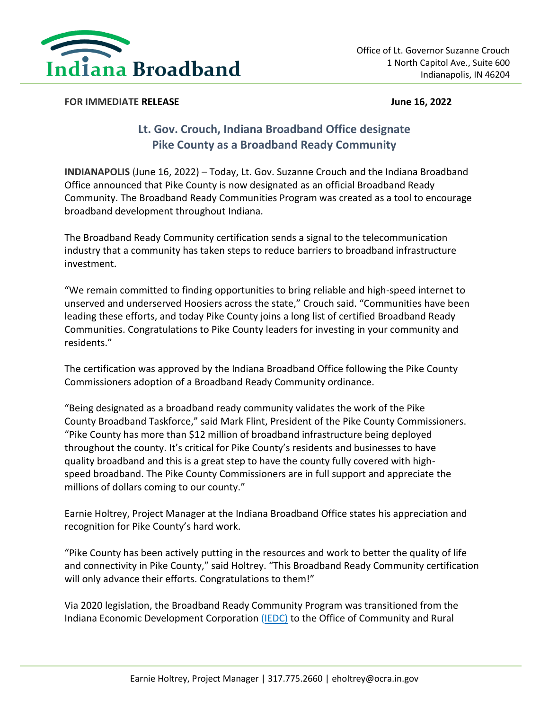

## **FOR IMMEDIATE RELEASE** *CONSERVERSION CONSERVERSION CONSERVERSION* **<b>***CONSERVERSION CONSERVERSION CONSERVERSION CONSERVERSION CONSERVERSION CONSERVERSION CONSERVERSION CONSERVERSION*

## **Lt. Gov. Crouch, Indiana Broadband Office designate Pike County as a Broadband Ready Community**

**INDIANAPOLIS** (June 16, 2022) – Today, Lt. Gov. Suzanne Crouch and the Indiana Broadband Office announced that Pike County is now designated as an official Broadband Ready Community. The Broadband Ready Communities Program was created as a tool to encourage broadband development throughout Indiana.

The Broadband Ready Community certification sends a signal to the telecommunication industry that a community has taken steps to reduce barriers to broadband infrastructure investment.

"We remain committed to finding opportunities to bring reliable and high-speed internet to unserved and underserved Hoosiers across the state," Crouch said. "Communities have been leading these efforts, and today Pike County joins a long list of certified Broadband Ready Communities. Congratulations to Pike County leaders for investing in your community and residents."

The certification was approved by the Indiana Broadband Office following the Pike County Commissioners adoption of a Broadband Ready Community ordinance.

"Being designated as a broadband ready community validates the work of the Pike County Broadband Taskforce," said Mark Flint, President of the Pike County Commissioners. "Pike County has more than \$12 million of broadband infrastructure being deployed throughout the county. It's critical for Pike County's residents and businesses to have quality broadband and this is a great step to have the county fully covered with highspeed broadband. The Pike County Commissioners are in full support and appreciate the millions of dollars coming to our county."

Earnie Holtrey, Project Manager at the Indiana Broadband Office states his appreciation and recognition for Pike County's hard work.

"Pike County has been actively putting in the resources and work to better the quality of life and connectivity in Pike County," said Holtrey. "This Broadband Ready Community certification will only advance their efforts. Congratulations to them!"

Via 2020 legislation, the Broadband Ready Community Program was transitioned from the Indiana Economic Development Corporation [\(IEDC\)](https://www.iedc.in.gov/) to the Office of Community and Rural